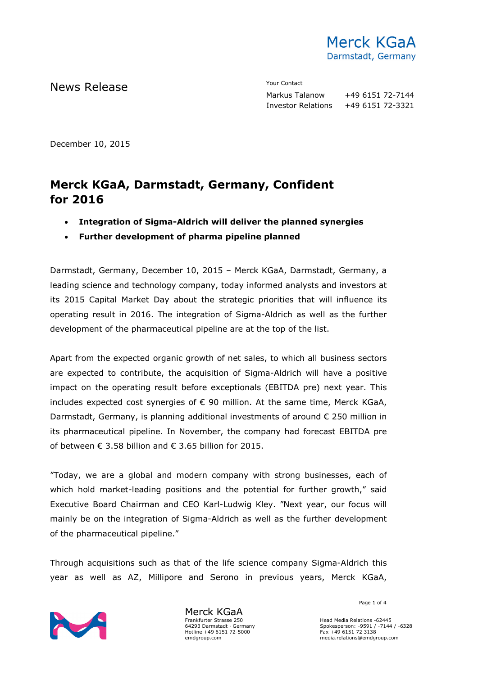

News Release The Contact Terms of the Mean of the Mean of the Vour Contact

Markus Talanow +49 6151 72-7144 Investor Relations +49 6151 72-3321

December 10, 2015

# **Merck KGaA, Darmstadt, Germany, Confident for 2016**

- **Integration of Sigma-Aldrich will deliver the planned synergies**
- **Further development of pharma pipeline planned**

Darmstadt, Germany, December 10, 2015 – Merck KGaA, Darmstadt, Germany, a leading science and technology company, today informed analysts and investors at its 2015 Capital Market Day about the strategic priorities that will influence its operating result in 2016. The integration of Sigma-Aldrich as well as the further development of the pharmaceutical pipeline are at the top of the list.

Apart from the expected organic growth of net sales, to which all business sectors are expected to contribute, the acquisition of Sigma-Aldrich will have a positive impact on the operating result before exceptionals (EBITDA pre) next year. This includes expected cost synergies of € 90 million. At the same time, Merck KGaA, Darmstadt, Germany, is planning additional investments of around € 250 million in its pharmaceutical pipeline. In November, the company had forecast EBITDA pre of between  $\epsilon$  3.58 billion and  $\epsilon$  3.65 billion for 2015.

"Today, we are a global and modern company with strong businesses, each of which hold market-leading positions and the potential for further growth," said Executive Board Chairman and CEO Karl-Ludwig Kley. "Next year, our focus will mainly be on the integration of Sigma-Aldrich as well as the further development of the pharmaceutical pipeline."

Through acquisitions such as that of the life science company Sigma-Aldrich this year as well as AZ, Millipore and Serono in previous years, Merck KGaA,



Merck KGaA Frankfurter Strasse 250 64293 Darmstadt · Germany Hotline +49 6151 72-5000 emdgroup.com

Page 1 of 4

Head Media Relations -62445 Spokesperson: -9591 / -7144 / -6328 Fax +49 6151 72 3138 media.relations@emdgroup.com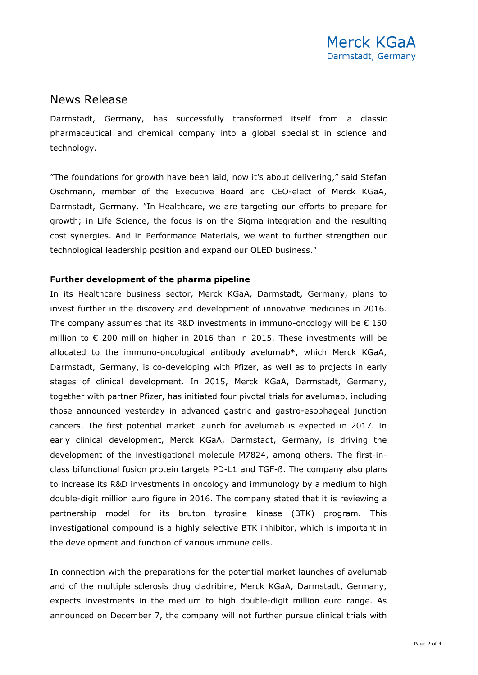### News Release

Darmstadt, Germany, has successfully transformed itself from a classic pharmaceutical and chemical company into a global specialist in science and technology.

"The foundations for growth have been laid, now it's about delivering," said Stefan Oschmann, member of the Executive Board and CEO-elect of Merck KGaA, Darmstadt, Germany. "In Healthcare, we are targeting our efforts to prepare for growth; in Life Science, the focus is on the Sigma integration and the resulting cost synergies. And in Performance Materials, we want to further strengthen our technological leadership position and expand our OLED business."

#### **Further development of the pharma pipeline**

In its Healthcare business sector, Merck KGaA, Darmstadt, Germany, plans to invest further in the discovery and development of innovative medicines in 2016. The company assumes that its R&D investments in immuno-oncology will be  $\epsilon$  150 million to € 200 million higher in 2016 than in 2015. These investments will be allocated to the immuno-oncological antibody avelumab\*, which Merck KGaA, Darmstadt, Germany, is co-developing with Pfizer, as well as to projects in early stages of clinical development. In 2015, Merck KGaA, Darmstadt, Germany, together with partner Pfizer, has initiated four pivotal trials for avelumab, including those announced yesterday in advanced gastric and gastro-esophageal junction cancers. The first potential market launch for avelumab is expected in 2017. In early clinical development, Merck KGaA, Darmstadt, Germany, is driving the development of the investigational molecule M7824, among others. The first-inclass bifunctional fusion protein targets PD-L1 and TGF-ß. The company also plans to increase its R&D investments in oncology and immunology by a medium to high double-digit million euro figure in 2016. The company stated that it is reviewing a partnership model for its bruton tyrosine kinase (BTK) program. This investigational compound is a highly selective BTK inhibitor, which is important in the development and function of various immune cells.

In connection with the preparations for the potential market launches of avelumab and of the multiple sclerosis drug cladribine, Merck KGaA, Darmstadt, Germany, expects investments in the medium to high double-digit million euro range. As announced on December 7, the company will not further pursue clinical trials with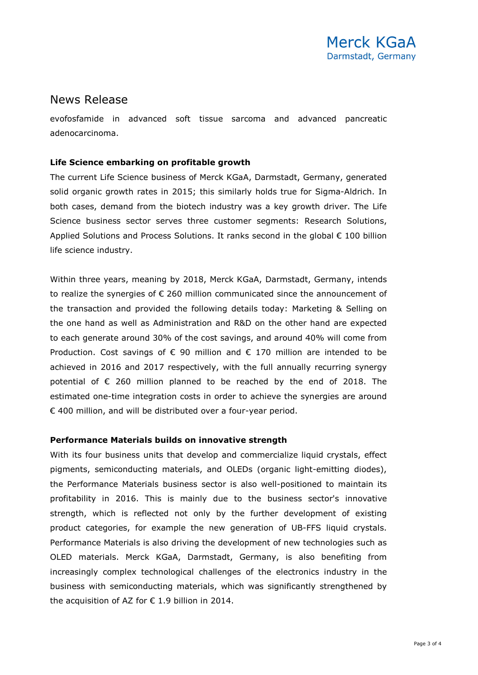## News Release

evofosfamide in advanced soft tissue sarcoma and advanced pancreatic adenocarcinoma.

### **Life Science embarking on profitable growth**

The current Life Science business of Merck KGaA, Darmstadt, Germany, generated solid organic growth rates in 2015; this similarly holds true for Sigma-Aldrich. In both cases, demand from the biotech industry was a key growth driver. The Life Science business sector serves three customer segments: Research Solutions, Applied Solutions and Process Solutions. It ranks second in the global € 100 billion life science industry.

Within three years, meaning by 2018, Merck KGaA, Darmstadt, Germany, intends to realize the synergies of € 260 million communicated since the announcement of the transaction and provided the following details today: Marketing & Selling on the one hand as well as Administration and R&D on the other hand are expected to each generate around 30% of the cost savings, and around 40% will come from Production. Cost savings of  $\epsilon$  90 million and  $\epsilon$  170 million are intended to be achieved in 2016 and 2017 respectively, with the full annually recurring synergy potential of € 260 million planned to be reached by the end of 2018. The estimated one-time integration costs in order to achieve the synergies are around € 400 million, and will be distributed over a four-year period.

#### **Performance Materials builds on innovative strength**

With its four business units that develop and commercialize liquid crystals, effect pigments, semiconducting materials, and OLEDs (organic light-emitting diodes), the Performance Materials business sector is also well-positioned to maintain its profitability in 2016. This is mainly due to the business sector's innovative strength, which is reflected not only by the further development of existing product categories, for example the new generation of UB-FFS liquid crystals. Performance Materials is also driving the development of new technologies such as OLED materials. Merck KGaA, Darmstadt, Germany, is also benefiting from increasingly complex technological challenges of the electronics industry in the business with semiconducting materials, which was significantly strengthened by the acquisition of AZ for  $\epsilon$  1.9 billion in 2014.